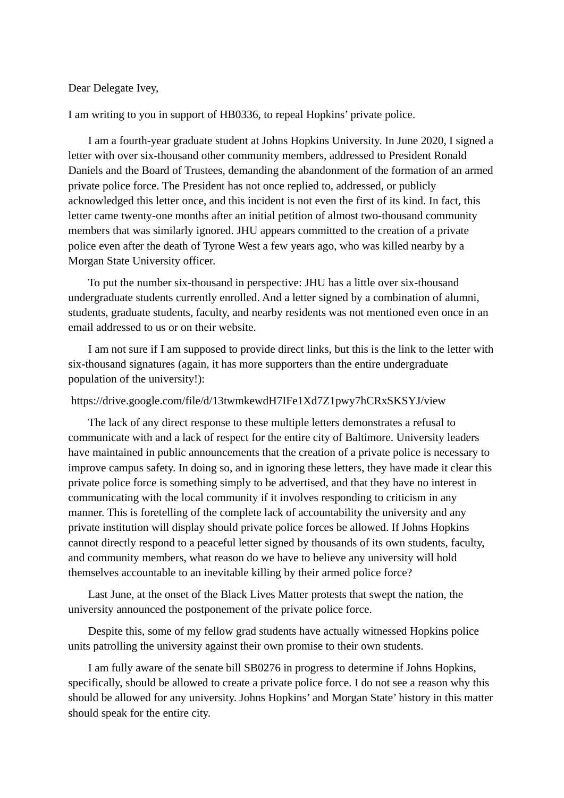## Dear Delegate Ivey,

I am writing to you in support of HB0336, to repeal Hopkins' private police.

I am a fourth-year graduate student at Johns Hopkins University. In June 2020, I signed a letter with over six-thousand other community members, addressed to President Ronald Daniels and the Board of Trustees, demanding the abandonment of the formation of an armed private police force. The President has not once replied to, addressed, or publicly acknowledged this letter once, and this incident is not even the first of its kind. In fact, this letter came twenty-one months after an initial petition of almost two-thousand community members that was similarly ignored. JHU appears committed to the creation of a private police even after the death of Tyrone West a few years ago, who was killed nearby by a Morgan State University officer.

To put the number six-thousand in perspective: JHU has a little over six-thousand undergraduate students currently enrolled. And a letter signed by a combination of alumni, students, graduate students, faculty, and nearby residents was not mentioned even once in an email addressed to us or on their website.

I am not sure if I am supposed to provide direct links, but this is the link to the letter with six-thousand signatures (again, it has more supporters than the entire undergraduate population of the university!):

## https://drive.google.com/file/d/13twmkewdH7IFe1Xd7Z1pwy7hCRxSKSYJ/view

The lack of any direct response to these multiple letters demonstrates a refusal to communicate with and a lack of respect for the entire city of Baltimore. University leaders have maintained in public announcements that the creation of a private police is necessary to improve campus safety. In doing so, and in ignoring these letters, they have made it clear this private police force is something simply to be advertised, and that they have no interest in communicating with the local community if it involves responding to criticism in any manner. This is foretelling of the complete lack of accountability the university and any private institution will display should private police forces be allowed. If Johns Hopkins cannot directly respond to a peaceful letter signed by thousands of its own students, faculty, and community members, what reason do we have to believe any university will hold themselves accountable to an inevitable killing by their armed police force?

Last June, at the onset of the Black Lives Matter protests that swept the nation, the university announced the postponement of the private police force.

Despite this, some of my fellow grad students have actually witnessed Hopkins police units patrolling the university against their own promise to their own students.

I am fully aware of the senate bill SB0276 in progress to determine if Johns Hopkins, specifically, should be allowed to create a private police force. I do not see a reason why this should be allowed for any university. Johns Hopkins' and Morgan State' history in this matter should speak for the entire city.